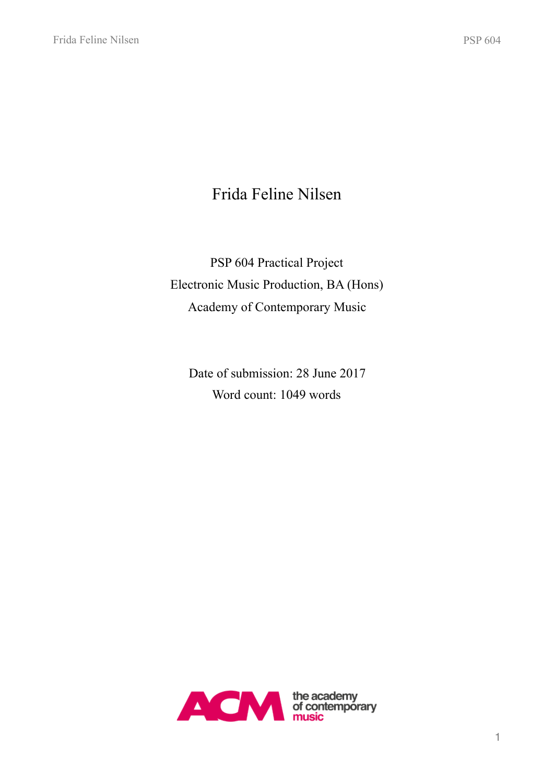# Frida Feline Nilsen

PSP 604 Practical Project Electronic Music Production, BA (Hons) Academy of Contemporary Music

Date of submission: 28 June 2017 Word count: 1049 words

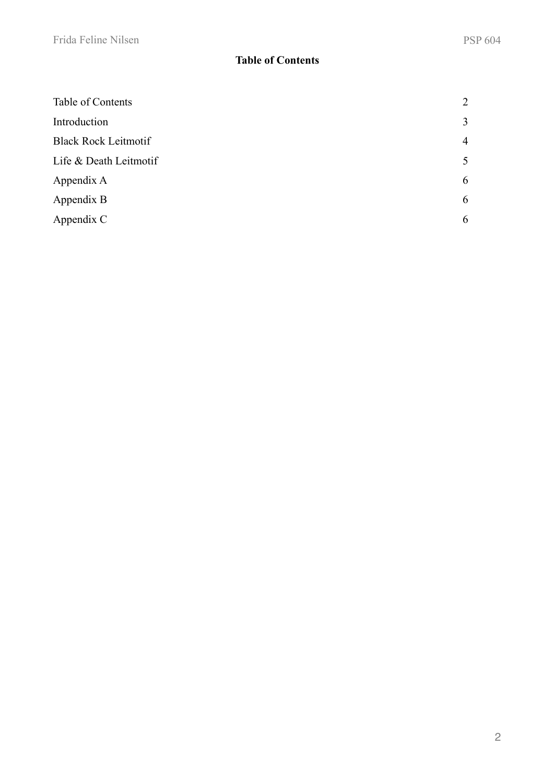# <span id="page-1-0"></span>**Table of Contents**

| Table of Contents           | 2 |
|-----------------------------|---|
| Introduction                | 3 |
| <b>Black Rock Leitmotif</b> | 4 |
| Life & Death Leitmotif      | 5 |
| Appendix A                  | 6 |
| Appendix B                  | 6 |
| Appendix C                  | 6 |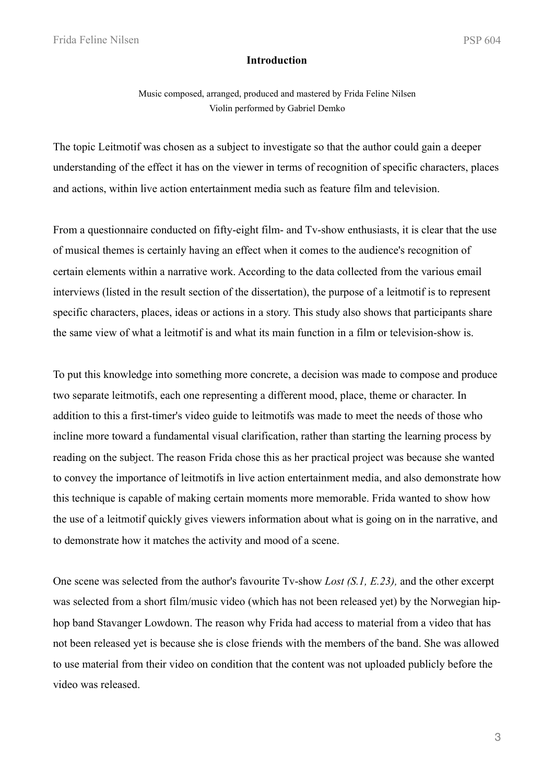#### <span id="page-2-0"></span>**Introduction**

Music composed, arranged, produced and mastered by Frida Feline Nilsen Violin performed by Gabriel Demko

The topic Leitmotif was chosen as a subject to investigate so that the author could gain a deeper understanding of the effect it has on the viewer in terms of recognition of specific characters, places and actions, within live action entertainment media such as feature film and television.

From a questionnaire conducted on fifty-eight film- and Tv-show enthusiasts, it is clear that the use of musical themes is certainly having an effect when it comes to the audience's recognition of certain elements within a narrative work. According to the data collected from the various email interviews (listed in the result section of the dissertation), the purpose of a leitmotif is to represent specific characters, places, ideas or actions in a story. This study also shows that participants share the same view of what a leitmotif is and what its main function in a film or television-show is.

To put this knowledge into something more concrete, a decision was made to compose and produce two separate leitmotifs, each one representing a different mood, place, theme or character. In addition to this a first-timer's video guide to leitmotifs was made to meet the needs of those who incline more toward a fundamental visual clarification, rather than starting the learning process by reading on the subject. The reason Frida chose this as her practical project was because she wanted to convey the importance of leitmotifs in live action entertainment media, and also demonstrate how this technique is capable of making certain moments more memorable. Frida wanted to show how the use of a leitmotif quickly gives viewers information about what is going on in the narrative, and to demonstrate how it matches the activity and mood of a scene.

One scene was selected from the author's favourite Tv-show *Lost (S.1, E.23),* and the other excerpt was selected from a short film/music video (which has not been released yet) by the Norwegian hiphop band Stavanger Lowdown. The reason why Frida had access to material from a video that has not been released yet is because she is close friends with the members of the band. She was allowed to use material from their video on condition that the content was not uploaded publicly before the video was released.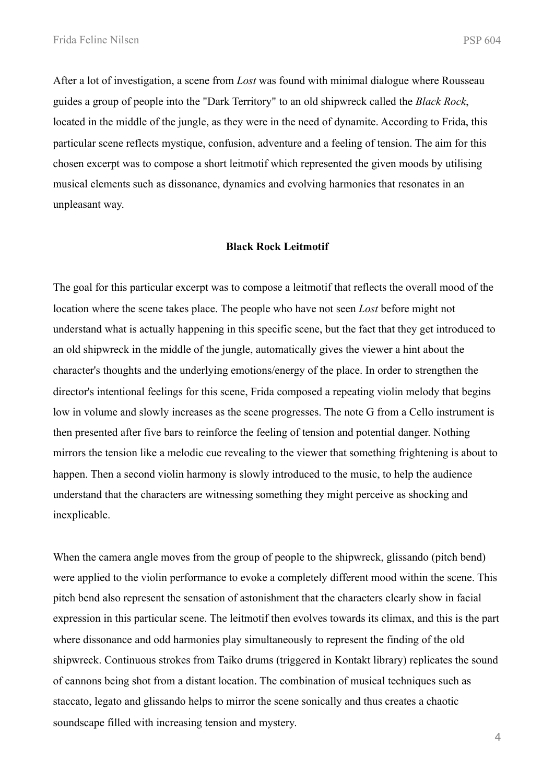After a lot of investigation, a scene from *Lost* was found with minimal dialogue where Rousseau guides a group of people into the "Dark Territory" to an old shipwreck called the *Black Rock*, located in the middle of the jungle, as they were in the need of dynamite. According to Frida, this particular scene reflects mystique, confusion, adventure and a feeling of tension. The aim for this chosen excerpt was to compose a short leitmotif which represented the given moods by utilising musical elements such as dissonance, dynamics and evolving harmonies that resonates in an unpleasant way.

#### <span id="page-3-0"></span>**Black Rock Leitmotif**

The goal for this particular excerpt was to compose a leitmotif that reflects the overall mood of the location where the scene takes place. The people who have not seen *Lost* before might not understand what is actually happening in this specific scene, but the fact that they get introduced to an old shipwreck in the middle of the jungle, automatically gives the viewer a hint about the character's thoughts and the underlying emotions/energy of the place. In order to strengthen the director's intentional feelings for this scene, Frida composed a repeating violin melody that begins low in volume and slowly increases as the scene progresses. The note G from a Cello instrument is then presented after five bars to reinforce the feeling of tension and potential danger. Nothing mirrors the tension like a melodic cue revealing to the viewer that something frightening is about to happen. Then a second violin harmony is slowly introduced to the music, to help the audience understand that the characters are witnessing something they might perceive as shocking and inexplicable.

When the camera angle moves from the group of people to the shipwreck, glissando (pitch bend) were applied to the violin performance to evoke a completely different mood within the scene. This pitch bend also represent the sensation of astonishment that the characters clearly show in facial expression in this particular scene. The leitmotif then evolves towards its climax, and this is the part where dissonance and odd harmonies play simultaneously to represent the finding of the old shipwreck. Continuous strokes from Taiko drums (triggered in Kontakt library) replicates the sound of cannons being shot from a distant location. The combination of musical techniques such as staccato, legato and glissando helps to mirror the scene sonically and thus creates a chaotic soundscape filled with increasing tension and mystery.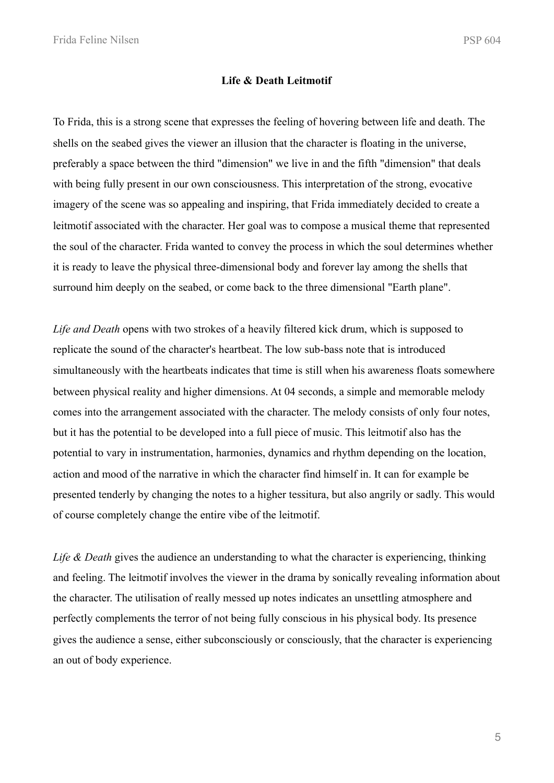Frida Feline Nilsen PSP 604

#### <span id="page-4-0"></span>**Life & Death Leitmotif**

To Frida, this is a strong scene that expresses the feeling of hovering between life and death. The shells on the seabed gives the viewer an illusion that the character is floating in the universe, preferably a space between the third "dimension" we live in and the fifth "dimension" that deals with being fully present in our own consciousness. This interpretation of the strong, evocative imagery of the scene was so appealing and inspiring, that Frida immediately decided to create a leitmotif associated with the character. Her goal was to compose a musical theme that represented the soul of the character. Frida wanted to convey the process in which the soul determines whether it is ready to leave the physical three-dimensional body and forever lay among the shells that surround him deeply on the seabed, or come back to the three dimensional "Earth plane".

*Life and Death* opens with two strokes of a heavily filtered kick drum, which is supposed to replicate the sound of the character's heartbeat. The low sub-bass note that is introduced simultaneously with the heartbeats indicates that time is still when his awareness floats somewhere between physical reality and higher dimensions. At 04 seconds, a simple and memorable melody comes into the arrangement associated with the character. The melody consists of only four notes, but it has the potential to be developed into a full piece of music. This leitmotif also has the potential to vary in instrumentation, harmonies, dynamics and rhythm depending on the location, action and mood of the narrative in which the character find himself in. It can for example be presented tenderly by changing the notes to a higher tessitura, but also angrily or sadly. This would of course completely change the entire vibe of the leitmotif.

*Life & Death* gives the audience an understanding to what the character is experiencing, thinking and feeling. The leitmotif involves the viewer in the drama by sonically revealing information about the character. The utilisation of really messed up notes indicates an unsettling atmosphere and perfectly complements the terror of not being fully conscious in his physical body. Its presence gives the audience a sense, either subconsciously or consciously, that the character is experiencing an out of body experience.